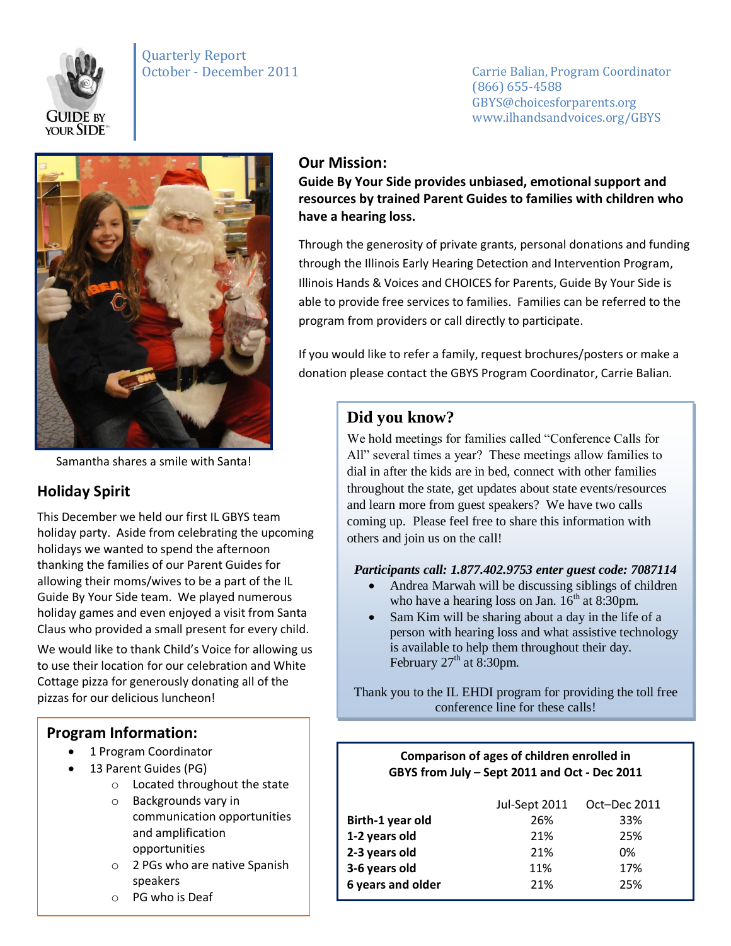

# Quarterly Report

October - December 2011 Carrie Balian, Program Coordinator (866) 655-4588 GBYS@choicesforparents.org www.ilhandsandvoices.org/GBYS



Samantha shares a smile with Santa!

## **Holiday Spirit**

This December we held our first IL GBYS team holiday party. Aside from celebrating the upcoming holidays we wanted to spend the afternoon thanking the families of our Parent Guides for allowing their moms/wives to be a part of the IL Guide By Your Side team. We played numerous holiday games and even enjoyed a visit from Santa Claus who provided a small present for every child.

We would like to thank Child's Voice for allowing us to use their location for our celebration and White Cottage pizza for generously donating all of the pizzas for our delicious luncheon!

### **Program Information:**

- 1 Program Coordinator
- 13 Parent Guides (PG)
	- o Located throughout the state
	- o Backgrounds vary in communication opportunities and amplification opportunities
	- o 2 PGs who are native Spanish speakers
	- o PG who is Deaf

### **Our Mission:**

**Guide By Your Side provides unbiased, emotional support and resources by trained Parent Guides to families with children who have a hearing loss.** 

Through the generosity of private grants, personal donations and funding through the Illinois Early Hearing Detection and Intervention Program, Illinois Hands & Voices and CHOICES for Parents, Guide By Your Side is able to provide free services to families. Families can be referred to the program from providers or call directly to participate.

If you would like to refer a family, request brochures/posters or make a donation please contact the GBYS Program Coordinator, Carrie Balian.

## **Did you know?**

We hold meetings for families called "Conference Calls for All" several times a year? These meetings allow families to dial in after the kids are in bed, connect with other families throughout the state, get updates about state events/resources and learn more from guest speakers? We have two calls coming up. Please feel free to share this information with others and join us on the call!

#### *Participants call: 1.877.402.9753 enter guest code: 7087114*

- Andrea Marwah will be discussing siblings of children who have a hearing loss on Jan.  $16<sup>th</sup>$  at 8:30pm.
- Sam Kim will be sharing about a day in the life of a person with hearing loss and what assistive technology is available to help them throughout their day. February  $27<sup>th</sup>$  at 8:30pm.

Thank you to the IL EHDI program for providing the toll free conference line for these calls!

#### **Comparison of ages of children enrolled in GBYS from July – Sept 2011 and Oct - Dec 2011**

| Jul-Sept 2011 | Oct-Dec 2011 |
|---------------|--------------|
| 26%           | 33%          |
| 21%           | 25%          |
| 21%           | 0%           |
| 11%           | 17%          |
| 21%           | 25%          |
|               |              |